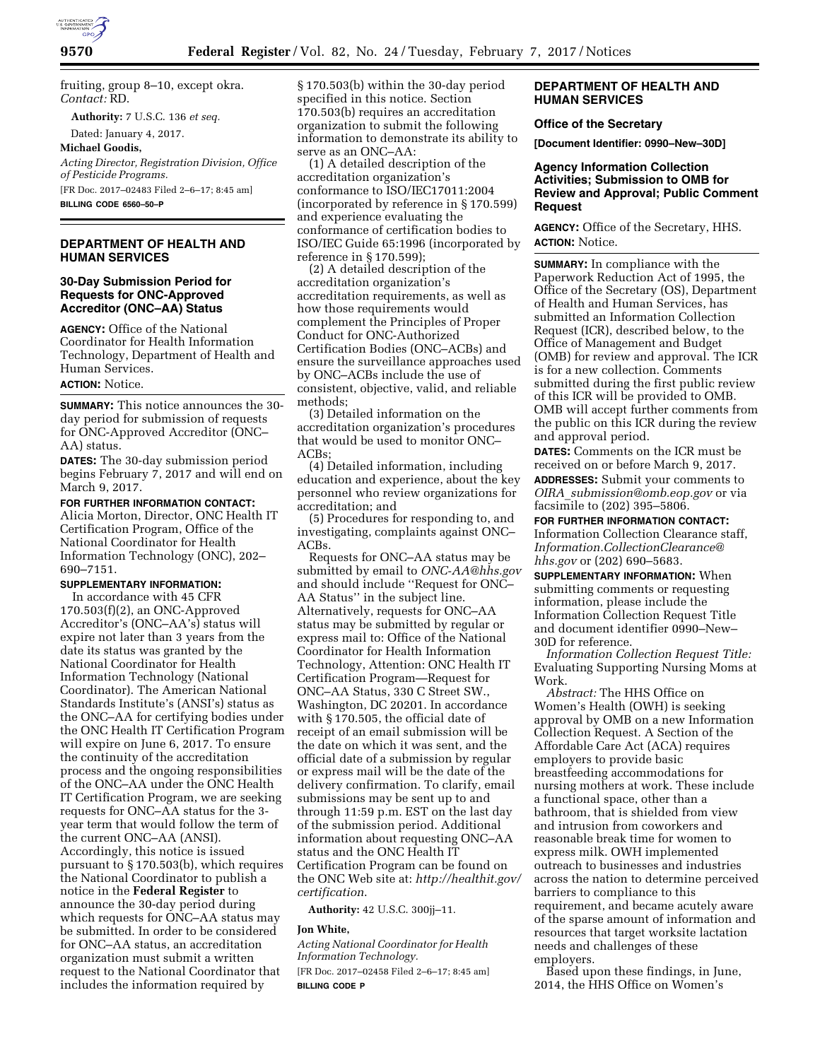

fruiting, group 8–10, except okra. *Contact:* RD.

**Authority:** 7 U.S.C. 136 *et seq.* 

Dated: January 4, 2017.

**Michael Goodis,** 

*Acting Director, Registration Division, Office of Pesticide Programs.*  [FR Doc. 2017–02483 Filed 2–6–17; 8:45 am] **BILLING CODE 6560–50–P** 

## **DEPARTMENT OF HEALTH AND HUMAN SERVICES**

# **30-Day Submission Period for Requests for ONC-Approved Accreditor (ONC–AA) Status**

**AGENCY:** Office of the National Coordinator for Health Information Technology, Department of Health and Human Services.

## **ACTION:** Notice.

**SUMMARY:** This notice announces the 30 day period for submission of requests for ONC-Approved Accreditor (ONC– AA) status.

**DATES:** The 30-day submission period begins February 7, 2017 and will end on March 9, 2017.

## **FOR FURTHER INFORMATION CONTACT:**

Alicia Morton, Director, ONC Health IT Certification Program, Office of the National Coordinator for Health Information Technology (ONC), 202– 690–7151.

# **SUPPLEMENTARY INFORMATION:**

In accordance with 45 CFR 170.503(f)(2), an ONC-Approved Accreditor's (ONC–AA's) status will expire not later than 3 years from the date its status was granted by the National Coordinator for Health Information Technology (National Coordinator). The American National Standards Institute's (ANSI's) status as the ONC–AA for certifying bodies under the ONC Health IT Certification Program will expire on June 6, 2017. To ensure the continuity of the accreditation process and the ongoing responsibilities of the ONC–AA under the ONC Health IT Certification Program, we are seeking requests for ONC–AA status for the 3 year term that would follow the term of the current ONC–AA (ANSI). Accordingly, this notice is issued pursuant to § 170.503(b), which requires the National Coordinator to publish a notice in the **Federal Register** to announce the 30-day period during which requests for ONC–AA status may be submitted. In order to be considered for ONC–AA status, an accreditation organization must submit a written request to the National Coordinator that includes the information required by

§ 170.503(b) within the 30-day period specified in this notice. Section 170.503(b) requires an accreditation organization to submit the following information to demonstrate its ability to serve as an ONC–AA:

(1) A detailed description of the accreditation organization's conformance to ISO/IEC17011:2004 (incorporated by reference in § 170.599) and experience evaluating the conformance of certification bodies to ISO/IEC Guide 65:1996 (incorporated by reference in § 170.599);

(2) A detailed description of the accreditation organization's accreditation requirements, as well as how those requirements would complement the Principles of Proper Conduct for ONC-Authorized Certification Bodies (ONC–ACBs) and ensure the surveillance approaches used by ONC–ACBs include the use of consistent, objective, valid, and reliable methods;

(3) Detailed information on the accreditation organization's procedures that would be used to monitor ONC– ACBs;

(4) Detailed information, including education and experience, about the key personnel who review organizations for accreditation; and

(5) Procedures for responding to, and investigating, complaints against ONC– ACBs.

Requests for ONC–AA status may be submitted by email to *[ONC-AA@hhs.gov](mailto:ONC-AA@hhs.gov)*  and should include ''Request for ONC– AA Status'' in the subject line. Alternatively, requests for ONC–AA status may be submitted by regular or express mail to: Office of the National Coordinator for Health Information Technology, Attention: ONC Health IT Certification Program—Request for ONC–AA Status, 330 C Street SW., Washington, DC 20201. In accordance with § 170.505, the official date of receipt of an email submission will be the date on which it was sent, and the official date of a submission by regular or express mail will be the date of the delivery confirmation. To clarify, email submissions may be sent up to and through 11:59 p.m. EST on the last day of the submission period. Additional information about requesting ONC–AA status and the ONC Health IT Certification Program can be found on the ONC Web site at: *[http://healthit.gov/](http://healthit.gov/certification) [certification](http://healthit.gov/certification)*.

**Authority:** 42 U.S.C. 300jj–11.

#### **Jon White,**

*Acting National Coordinator for Health Information Technology.*  [FR Doc. 2017–02458 Filed 2–6–17; 8:45 am] **BILLING CODE P** 

# **DEPARTMENT OF HEALTH AND HUMAN SERVICES**

## **Office of the Secretary**

**[Document Identifier: 0990–New–30D]** 

## **Agency Information Collection Activities; Submission to OMB for Review and Approval; Public Comment Request**

**AGENCY:** Office of the Secretary, HHS. **ACTION:** Notice.

**SUMMARY:** In compliance with the Paperwork Reduction Act of 1995, the Office of the Secretary (OS), Department of Health and Human Services, has submitted an Information Collection Request (ICR), described below, to the Office of Management and Budget (OMB) for review and approval. The ICR is for a new collection. Comments submitted during the first public review of this ICR will be provided to OMB. OMB will accept further comments from the public on this ICR during the review and approval period.

**DATES:** Comments on the ICR must be received on or before March 9, 2017.

**ADDRESSES:** Submit your comments to *OIRA*\_*[submission@omb.eop.gov](mailto:OIRA_submission@omb.eop.gov)* or via facsimile to (202) 395–5806.

**FOR FURTHER INFORMATION CONTACT:**  Information Collection Clearance staff, *[Information.CollectionClearance@](mailto:Information.CollectionClearance@hhs.gov) [hhs.gov](mailto:Information.CollectionClearance@hhs.gov)* or (202) 690–5683.

**SUPPLEMENTARY INFORMATION:** When submitting comments or requesting information, please include the Information Collection Request Title and document identifier 0990–New– 30D for reference.

*Information Collection Request Title:*  Evaluating Supporting Nursing Moms at Work.

*Abstract:* The HHS Office on Women's Health (OWH) is seeking approval by OMB on a new Information Collection Request. A Section of the Affordable Care Act (ACA) requires employers to provide basic breastfeeding accommodations for nursing mothers at work. These include a functional space, other than a bathroom, that is shielded from view and intrusion from coworkers and reasonable break time for women to express milk. OWH implemented outreach to businesses and industries across the nation to determine perceived barriers to compliance to this requirement, and became acutely aware of the sparse amount of information and resources that target worksite lactation needs and challenges of these employers.

Based upon these findings, in June, 2014, the HHS Office on Women's